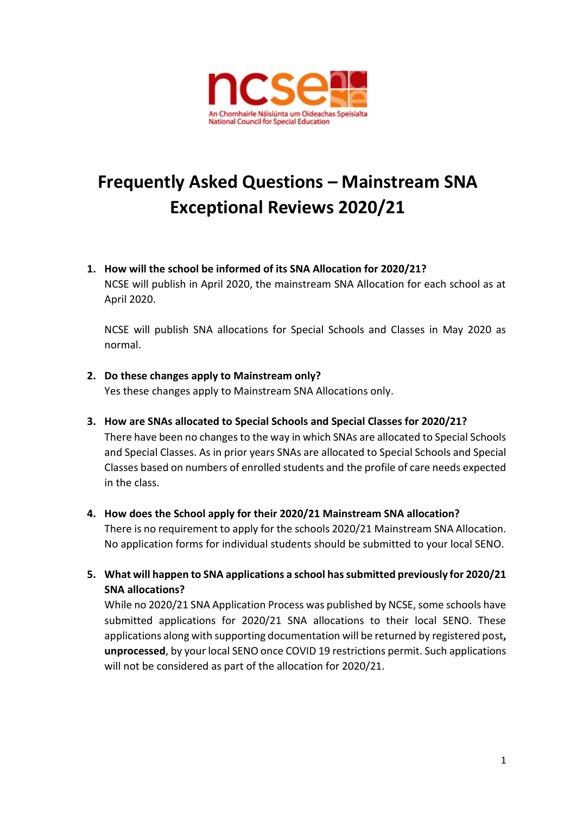

# **Frequently Asked Questions – Mainstream SNA Exceptional Reviews 2020/21**

**1. How will the school be informed of its SNA Allocation for 2020/21?**

NCSE will publish in April 2020, the mainstream SNA Allocation for each school as at April 2020.

NCSE will publish SNA allocations for Special Schools and Classes in May 2020 as normal.

**2. Do these changes apply to Mainstream only?**

Yes these changes apply to Mainstream SNA Allocations only.

- **3. How are SNAs allocated to Special Schools and Special Classes for 2020/21?** There have been no changes to the way in which SNAs are allocated to Special Schools and Special Classes. As in prior years SNAs are allocated to Special Schools and Special Classes based on numbers of enrolled students and the profile of care needs expected in the class.
- **4. How does the School apply for their 2020/21 Mainstream SNA allocation?** There is no requirement to apply for the schools 2020/21 Mainstream SNA Allocation. No application forms for individual students should be submitted to your local SENO.
- **5. What will happen to SNA applications a school has submitted previously for 2020/21 SNA allocations?**

While no 2020/21 SNA Application Process was published by NCSE, some schools have submitted applications for 2020/21 SNA allocations to their local SENO. These applications along with supporting documentation will be returned by registered post**, unprocessed**, by your local SENO once COVID 19 restrictions permit. Such applications will not be considered as part of the allocation for 2020/21.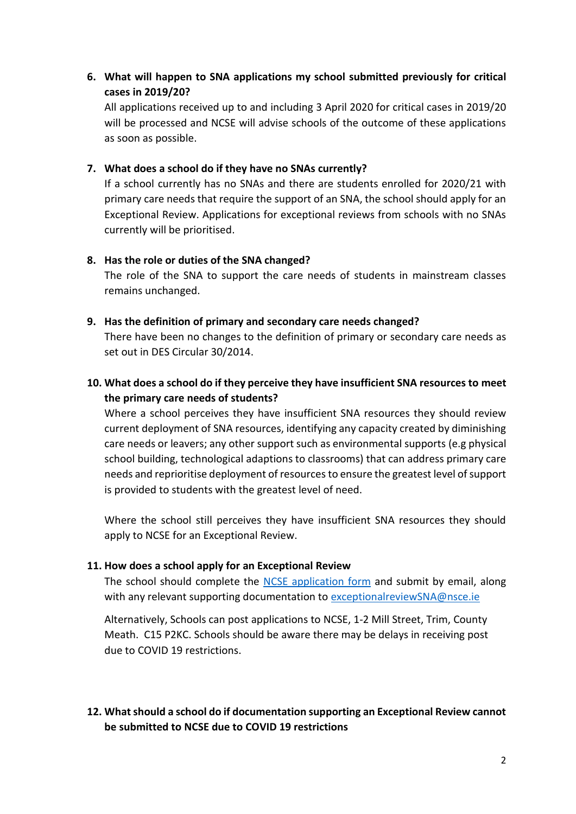**6. What will happen to SNA applications my school submitted previously for critical cases in 2019/20?**

All applications received up to and including 3 April 2020 for critical cases in 2019/20 will be processed and NCSE will advise schools of the outcome of these applications as soon as possible.

### **7. What does a school do if they have no SNAs currently?**

If a school currently has no SNAs and there are students enrolled for 2020/21 with primary care needs that require the support of an SNA, the school should apply for an Exceptional Review. Applications for exceptional reviews from schools with no SNAs currently will be prioritised.

#### **8. Has the role or duties of the SNA changed?**

The role of the SNA to support the care needs of students in mainstream classes remains unchanged.

#### **9. Has the definition of primary and secondary care needs changed?**

There have been no changes to the definition of primary or secondary care needs as set out in DES Circular 30/2014.

## **10. What does a school do if they perceive they have insufficient SNA resources to meet the primary care needs of students?**

Where a school perceives they have insufficient SNA resources they should review current deployment of SNA resources, identifying any capacity created by diminishing care needs or leavers; any other support such as environmental supports (e.g physical school building, technological adaptions to classrooms) that can address primary care needs and reprioritise deployment of resourcesto ensure the greatest level of support is provided to students with the greatest level of need.

Where the school still perceives they have insufficient SNA resources they should apply to NCSE for an Exceptional Review.

## **11. How does a school apply for an Exceptional Review**

The school should complete the [NCSE application form](https://ncse.ie/wp-content/uploads/2020/04/Application-for-Schools-Seeking-SNA-Exceptional-Review-2020.docx) and submit by email, along with any relevant supporting documentation to [exceptionalreviewSNA@nsce.ie](mailto:exceptionalreviewSNA@nsce.ie)

Alternatively, Schools can post applications to NCSE, 1-2 Mill Street, Trim, County Meath. C15 P2KC. Schools should be aware there may be delays in receiving post due to COVID 19 restrictions.

# **12. What should a school do if documentation supporting an Exceptional Review cannot be submitted to NCSE due to COVID 19 restrictions**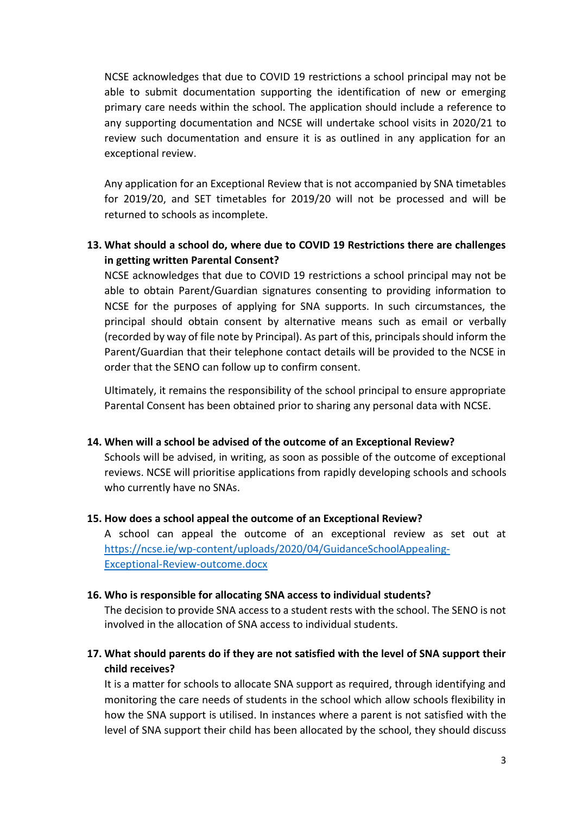NCSE acknowledges that due to COVID 19 restrictions a school principal may not be able to submit documentation supporting the identification of new or emerging primary care needs within the school. The application should include a reference to any supporting documentation and NCSE will undertake school visits in 2020/21 to review such documentation and ensure it is as outlined in any application for an exceptional review.

Any application for an Exceptional Review that is not accompanied by SNA timetables for 2019/20, and SET timetables for 2019/20 will not be processed and will be returned to schools as incomplete.

## **13. What should a school do, where due to COVID 19 Restrictions there are challenges in getting written Parental Consent?**

NCSE acknowledges that due to COVID 19 restrictions a school principal may not be able to obtain Parent/Guardian signatures consenting to providing information to NCSE for the purposes of applying for SNA supports. In such circumstances, the principal should obtain consent by alternative means such as email or verbally (recorded by way of file note by Principal). As part of this, principals should inform the Parent/Guardian that their telephone contact details will be provided to the NCSE in order that the SENO can follow up to confirm consent.

Ultimately, it remains the responsibility of the school principal to ensure appropriate Parental Consent has been obtained prior to sharing any personal data with NCSE.

#### **14. When will a school be advised of the outcome of an Exceptional Review?**

Schools will be advised, in writing, as soon as possible of the outcome of exceptional reviews. NCSE will prioritise applications from rapidly developing schools and schools who currently have no SNAs.

## **15. How does a school appeal the outcome of an Exceptional Review?**

A school can appeal the outcome of an exceptional review as set out at [https://ncse.ie/wp-content/uploads/2020/04/GuidanceSchoolAppealing-](https://ncse.ie/wp-content/uploads/2020/04/GuidanceSchoolAppealing-Exceptional-Review-outcome.docx)[Exceptional-Review-outcome.docx](https://ncse.ie/wp-content/uploads/2020/04/GuidanceSchoolAppealing-Exceptional-Review-outcome.docx)

#### **16. Who is responsible for allocating SNA access to individual students?**

The decision to provide SNA access to a student rests with the school. The SENO is not involved in the allocation of SNA access to individual students.

## **17. What should parents do if they are not satisfied with the level of SNA support their child receives?**

It is a matter for schools to allocate SNA support as required, through identifying and monitoring the care needs of students in the school which allow schools flexibility in how the SNA support is utilised. In instances where a parent is not satisfied with the level of SNA support their child has been allocated by the school, they should discuss